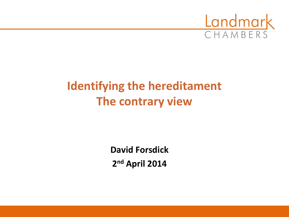

# **Identifying the hereditament The contrary view**

**David Forsdick 2 nd April 2014**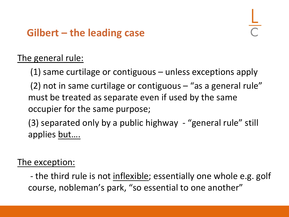## **Gilbert – the leading case**

### The general rule:

(1) same curtilage or contiguous – unless exceptions apply

(2) not in same curtilage or contiguous  $-$  "as a general rule" must be treated as separate even if used by the same occupier for the same purpose;

(3) separated only by a public highway - "general rule" still applies but….

#### The exception:

- the third rule is not inflexible; essentially one whole e.g. golf course, nobleman's park, "so essential to one another"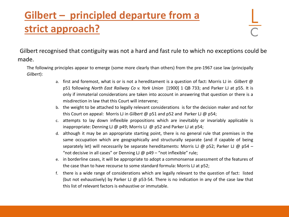# **Gilbert – principled departure from a strict approach?**

Gilbert recognised that contiguity was not a hard and fast rule to which no exceptions could be made.

The following principles appear to emerge (some more clearly than others) from the pre-1967 case law (principally *Gilbert*):

- a. first and foremost, what is or is not a hereditament is a question of fact: Morris LJ in *Gilbert* @ p51 following *North East Railway Co v. York Union* [1900] 1 QB 733; and Parker LJ at p55. It is only if immaterial considerations are taken into account in answering that question or there is a misdirection in law that this Court will intervene;
- b. the weight to be attached to legally relevant considerations is for the decision maker and not for this Court on appeal: Morris LJ in *Gilbert* @ p51 and p52 and Parker LJ @ p54;
- c. attempts to lay down inflexible propositions which are inevitably or invariably applicable is inappropriate: Denning LJ @ p49; Morris LJ @ p52 and Parker LJ at p54;
- d. although it may be an appropriate starting point, there is no general rule that premises in the same occupation which are geographically and structurally separate (and if capable of being separately let) will necessarily be separate hereditaments: Morris LJ @ p52; Parker LJ @ p54 – "not decisive in all cases" or Denning  $LJ \omega p49 -$ "not inflexible" rule;
- e. in borderline cases, it will be appropriate to adopt a commonsense assessment of the features of the case than to have recourse to some standard formula: Morris LJ at p52;
- f. there is a wide range of considerations which are legally relevant to the question of fact: listed (but not exhaustively) by Parker LJ  $\omega$  p53-54. There is no indication in any of the case law that this list of relevant factors is exhaustive or immutable.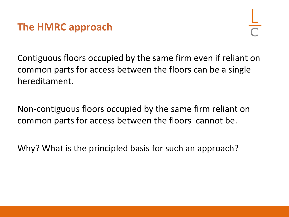

Contiguous floors occupied by the same firm even if reliant on common parts for access between the floors can be a single hereditament.

Non-contiguous floors occupied by the same firm reliant on common parts for access between the floors cannot be.

Why? What is the principled basis for such an approach?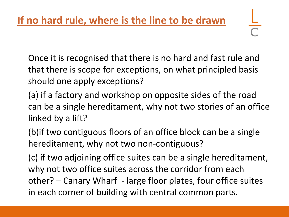Once it is recognised that there is no hard and fast rule and that there is scope for exceptions, on what principled basis

should one apply exceptions?

- (a) if a factory and workshop on opposite sides of the road can be a single hereditament, why not two stories of an office linked by a lift?
- (b)if two contiguous floors of an office block can be a single hereditament, why not two non-contiguous?
- (c) if two adjoining office suites can be a single hereditament, why not two office suites across the corridor from each other? – Canary Wharf - large floor plates, four office suites in each corner of building with central common parts.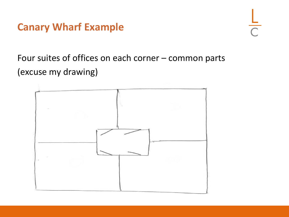### **Canary Wharf Example**

Four suites of offices on each corner – common parts (excuse my drawing)

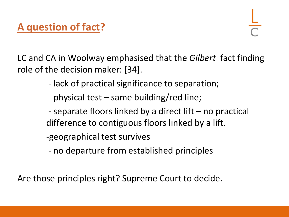# **A question of fact?**

LC and CA in Woolway emphasised that the *Gilbert* fact finding role of the decision maker: [34].

- lack of practical significance to separation;
- physical test same building/red line;
- separate floors linked by a direct lift no practical difference to contiguous floors linked by a lift.
- -geographical test survives
- no departure from established principles

Are those principles right? Supreme Court to decide.